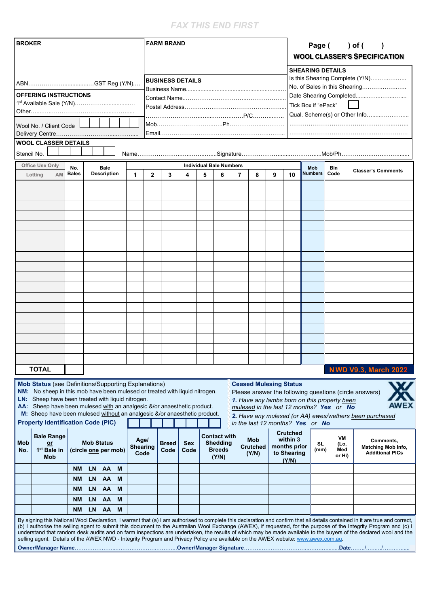## *FAX THIS END FIRST*

| <b>BROKER</b>                                                                                                                                                                                                                                                                                                                                                                                                                                                                                                                                                                                                                                                | <b>FARM BRAND</b>       |                    |                                                                  |                                  |                                                                     | Page () of (<br><b>WOOL CLASSER'S SPECIFICATION</b>        |                             |                                                                  |  |  |  |
|--------------------------------------------------------------------------------------------------------------------------------------------------------------------------------------------------------------------------------------------------------------------------------------------------------------------------------------------------------------------------------------------------------------------------------------------------------------------------------------------------------------------------------------------------------------------------------------------------------------------------------------------------------------|-------------------------|--------------------|------------------------------------------------------------------|----------------------------------|---------------------------------------------------------------------|------------------------------------------------------------|-----------------------------|------------------------------------------------------------------|--|--|--|
|                                                                                                                                                                                                                                                                                                                                                                                                                                                                                                                                                                                                                                                              | <b>BUSINESS DETAILS</b> |                    |                                                                  |                                  |                                                                     | <b>SHEARING DETAILS</b><br>Is this Shearing Complete (Y/N) |                             |                                                                  |  |  |  |
|                                                                                                                                                                                                                                                                                                                                                                                                                                                                                                                                                                                                                                                              |                         |                    |                                                                  |                                  |                                                                     |                                                            |                             |                                                                  |  |  |  |
| <b>OFFERING INSTRUCTIONS</b>                                                                                                                                                                                                                                                                                                                                                                                                                                                                                                                                                                                                                                 |                         |                    |                                                                  |                                  |                                                                     | Date Shearing Completed                                    |                             |                                                                  |  |  |  |
|                                                                                                                                                                                                                                                                                                                                                                                                                                                                                                                                                                                                                                                              |                         |                    |                                                                  |                                  |                                                                     | Tick Box if "ePack"                                        |                             |                                                                  |  |  |  |
|                                                                                                                                                                                                                                                                                                                                                                                                                                                                                                                                                                                                                                                              |                         |                    |                                                                  |                                  |                                                                     | Qual. Scheme(s) or Other Info                              |                             |                                                                  |  |  |  |
| Wool No. / Client Code                                                                                                                                                                                                                                                                                                                                                                                                                                                                                                                                                                                                                                       |                         |                    |                                                                  |                                  |                                                                     |                                                            |                             |                                                                  |  |  |  |
|                                                                                                                                                                                                                                                                                                                                                                                                                                                                                                                                                                                                                                                              |                         |                    |                                                                  |                                  |                                                                     |                                                            |                             |                                                                  |  |  |  |
| <b>WOOL CLASSER DETAILS</b>                                                                                                                                                                                                                                                                                                                                                                                                                                                                                                                                                                                                                                  |                         |                    |                                                                  |                                  |                                                                     |                                                            |                             |                                                                  |  |  |  |
| Stencil No.                                                                                                                                                                                                                                                                                                                                                                                                                                                                                                                                                                                                                                                  |                         |                    |                                                                  |                                  |                                                                     |                                                            |                             |                                                                  |  |  |  |
| <b>Office Use Only</b><br><b>Bale</b><br>No.                                                                                                                                                                                                                                                                                                                                                                                                                                                                                                                                                                                                                 |                         |                    | <b>Individual Bale Numbers</b>                                   |                                  |                                                                     | Mob                                                        | Bin                         | <b>Classer's Comments</b>                                        |  |  |  |
| <b>Description</b><br><b>Bales</b><br>AM<br>1<br>Lotting                                                                                                                                                                                                                                                                                                                                                                                                                                                                                                                                                                                                     | $\mathbf{2}$<br>3       | 4<br>5             | 6                                                                | 7<br>8                           | 9<br>10                                                             | <b>Numbers</b>                                             | Code                        |                                                                  |  |  |  |
|                                                                                                                                                                                                                                                                                                                                                                                                                                                                                                                                                                                                                                                              |                         |                    |                                                                  |                                  |                                                                     |                                                            |                             |                                                                  |  |  |  |
|                                                                                                                                                                                                                                                                                                                                                                                                                                                                                                                                                                                                                                                              |                         |                    |                                                                  |                                  |                                                                     |                                                            |                             |                                                                  |  |  |  |
|                                                                                                                                                                                                                                                                                                                                                                                                                                                                                                                                                                                                                                                              |                         |                    |                                                                  |                                  |                                                                     |                                                            |                             |                                                                  |  |  |  |
|                                                                                                                                                                                                                                                                                                                                                                                                                                                                                                                                                                                                                                                              |                         |                    |                                                                  |                                  |                                                                     |                                                            |                             |                                                                  |  |  |  |
|                                                                                                                                                                                                                                                                                                                                                                                                                                                                                                                                                                                                                                                              |                         |                    |                                                                  |                                  |                                                                     |                                                            |                             |                                                                  |  |  |  |
|                                                                                                                                                                                                                                                                                                                                                                                                                                                                                                                                                                                                                                                              |                         |                    |                                                                  |                                  |                                                                     |                                                            |                             |                                                                  |  |  |  |
|                                                                                                                                                                                                                                                                                                                                                                                                                                                                                                                                                                                                                                                              |                         |                    |                                                                  |                                  |                                                                     |                                                            |                             |                                                                  |  |  |  |
|                                                                                                                                                                                                                                                                                                                                                                                                                                                                                                                                                                                                                                                              |                         |                    |                                                                  |                                  |                                                                     |                                                            |                             |                                                                  |  |  |  |
|                                                                                                                                                                                                                                                                                                                                                                                                                                                                                                                                                                                                                                                              |                         |                    |                                                                  |                                  |                                                                     |                                                            |                             |                                                                  |  |  |  |
|                                                                                                                                                                                                                                                                                                                                                                                                                                                                                                                                                                                                                                                              |                         |                    |                                                                  |                                  |                                                                     |                                                            |                             |                                                                  |  |  |  |
|                                                                                                                                                                                                                                                                                                                                                                                                                                                                                                                                                                                                                                                              |                         |                    |                                                                  |                                  |                                                                     |                                                            |                             |                                                                  |  |  |  |
|                                                                                                                                                                                                                                                                                                                                                                                                                                                                                                                                                                                                                                                              |                         |                    |                                                                  |                                  |                                                                     |                                                            |                             |                                                                  |  |  |  |
|                                                                                                                                                                                                                                                                                                                                                                                                                                                                                                                                                                                                                                                              |                         |                    |                                                                  |                                  |                                                                     |                                                            |                             |                                                                  |  |  |  |
|                                                                                                                                                                                                                                                                                                                                                                                                                                                                                                                                                                                                                                                              |                         |                    |                                                                  |                                  |                                                                     |                                                            |                             |                                                                  |  |  |  |
|                                                                                                                                                                                                                                                                                                                                                                                                                                                                                                                                                                                                                                                              |                         |                    |                                                                  |                                  |                                                                     |                                                            |                             |                                                                  |  |  |  |
|                                                                                                                                                                                                                                                                                                                                                                                                                                                                                                                                                                                                                                                              |                         |                    |                                                                  |                                  |                                                                     |                                                            |                             |                                                                  |  |  |  |
|                                                                                                                                                                                                                                                                                                                                                                                                                                                                                                                                                                                                                                                              |                         |                    |                                                                  |                                  |                                                                     |                                                            |                             |                                                                  |  |  |  |
|                                                                                                                                                                                                                                                                                                                                                                                                                                                                                                                                                                                                                                                              |                         |                    |                                                                  |                                  |                                                                     |                                                            |                             |                                                                  |  |  |  |
| <b>TOTAL</b>                                                                                                                                                                                                                                                                                                                                                                                                                                                                                                                                                                                                                                                 |                         |                    |                                                                  |                                  |                                                                     |                                                            |                             | <b>NWD V9.3, March 2022</b>                                      |  |  |  |
| <b>Mob Status</b> (see Definitions/Supporting Explanations)<br><b>Ceased Mulesing Status</b><br>NM: No sheep in this mob have been mulesed or treated with liquid nitrogen.<br>Please answer the following questions (circle answers)<br>LN: Sheep have been treated with liquid nitrogen.<br>1. Have any lambs born on this property been<br>AA: Sheep have been mulesed with an analgesic &/or anaesthetic product.<br>mulesed in the last 12 months? Yes or No<br>M: Sheep have been mulesed without an analgesic &/or anaesthetic product.<br>2. Have any mulesed (or AA) ewes/wethers been purchased                                                    |                         |                    |                                                                  |                                  |                                                                     |                                                            |                             |                                                                  |  |  |  |
| <b>Property Identification Code (PIC)</b>                                                                                                                                                                                                                                                                                                                                                                                                                                                                                                                                                                                                                    |                         |                    |                                                                  | in the last 12 months? Yes or No |                                                                     |                                                            |                             |                                                                  |  |  |  |
| <b>Bale Range</b><br>Age/<br><b>Mob Status</b><br>Mob<br>or<br><b>Shearing</b><br>1 <sup>st</sup> Bale in<br>(circle one per mob)<br>No.<br>Code<br>Mob                                                                                                                                                                                                                                                                                                                                                                                                                                                                                                      | <b>Breed</b><br>Code    | <b>Sex</b><br>Code | <b>Contact with</b><br><b>Shedding</b><br><b>Breeds</b><br>(Y/N) | Mob<br>Crutched<br>(Y/N)         | <b>Crutched</b><br>within 3<br>months prior<br>to Shearing<br>(Y/N) | SL<br>(mm)                                                 | VM<br>(Lo,<br>Med<br>or Hi) | Comments,<br><b>Matching Mob Info,</b><br><b>Additional PICs</b> |  |  |  |
| <b>LN</b><br>AA<br><b>NM</b><br>M                                                                                                                                                                                                                                                                                                                                                                                                                                                                                                                                                                                                                            |                         |                    |                                                                  |                                  |                                                                     |                                                            |                             |                                                                  |  |  |  |
| AA<br>M<br><b>NM</b><br>LN.                                                                                                                                                                                                                                                                                                                                                                                                                                                                                                                                                                                                                                  |                         |                    |                                                                  |                                  |                                                                     |                                                            |                             |                                                                  |  |  |  |
| <b>LN</b><br>AA<br>M<br><b>NM</b>                                                                                                                                                                                                                                                                                                                                                                                                                                                                                                                                                                                                                            |                         |                    |                                                                  |                                  |                                                                     |                                                            |                             |                                                                  |  |  |  |
| <b>LN</b><br>AA<br>M<br><b>NM</b>                                                                                                                                                                                                                                                                                                                                                                                                                                                                                                                                                                                                                            |                         |                    |                                                                  |                                  |                                                                     |                                                            |                             |                                                                  |  |  |  |
| <b>LN</b><br>AA<br>M<br><b>NM</b>                                                                                                                                                                                                                                                                                                                                                                                                                                                                                                                                                                                                                            |                         |                    |                                                                  |                                  |                                                                     |                                                            |                             |                                                                  |  |  |  |
| By signing this National Wool Declaration, I warrant that (a) I am authorised to complete this declaration and confirm that all details contained in it are true and correct,<br>(b) I authorise the selling agent to submit this document to the Australian Wool Exchange (AWEX), if requested, for the purpose of the Integrity Program and (c) I<br>understand that random desk audits and on farm inspections are undertaken, the results of which may be made available to the buyers of the declared wool and the<br>selling agent. Details of the AWEX NWD - Integrity Program and Privacy Policy are available on the AWEX website: www.awex.com.au. |                         |                    |                                                                  |                                  |                                                                     |                                                            |                             |                                                                  |  |  |  |